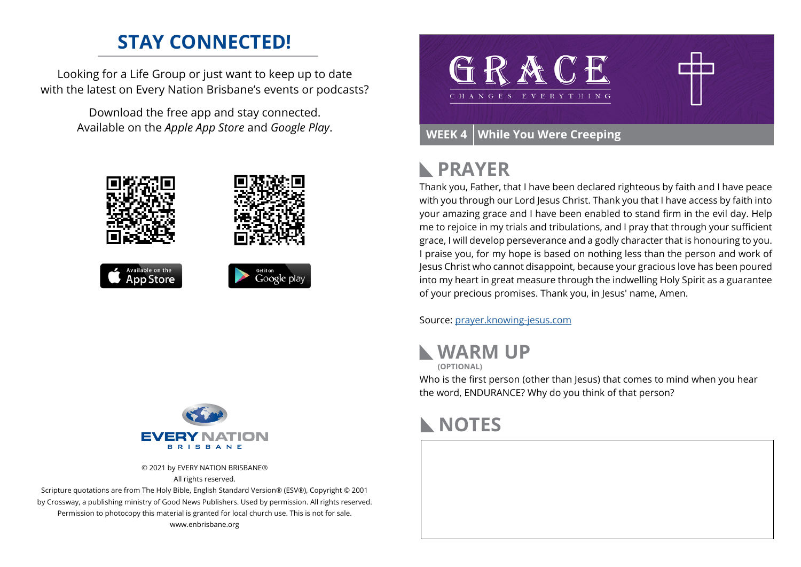### **STAY CONNECTED!**

Looking for a Life Group or just want to keep up to date with the latest on Every Nation Brisbane's events or podcasts?

> Download the free app and stay connected. Available on the *Apple App Store* and *Google Play*.





© 2021 by EVERY NATION BRISBANE® All rights reserved.

Scripture quotations are from The Holy Bible, English Standard Version® (ESV®), Copyright © 2001 by Crossway, a publishing ministry of Good News Publishers. Used by permission. All rights reserved. Permission to photocopy this material is granted for local church use. This is not for sale. www.enbrisbane.org



# **PRAYER**

Thank you, Father, that I have been declared righteous by faith and I have peace with you through our Lord Jesus Christ. Thank you that I have access by faith into your amazing grace and I have been enabled to stand firm in the evil day. Help me to rejoice in my trials and tribulations, and I pray that through your sufficient grace, I will develop perseverance and a godly character that is honouring to you. I praise you, for my hope is based on nothing less than the person and work of Jesus Christ who cannot disappoint, because your gracious love has been poured into my heart in great measure through the indwelling Holy Spirit as a guarantee of your precious promises. Thank you, in Jesus' name, Amen.

Source: [prayer.knowing-jesus.com](https://prayer.knowing-jesus.com/Romans/5)





Who is the first person (other than Jesus) that comes to mind when you hear the word, ENDURANCE? Why do you think of that person?